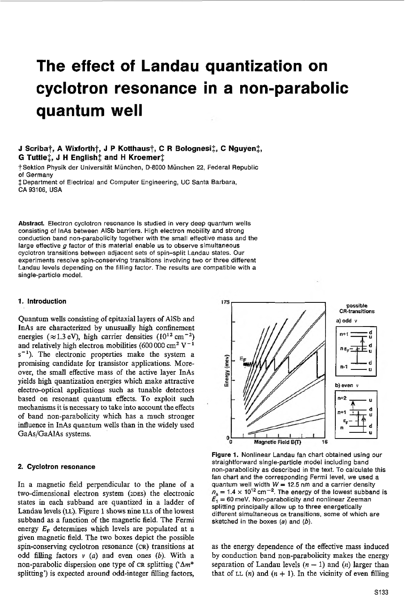# **The effect of Landau quantization on cyclotron resonance in a non-parabolic quantum well**

## **J Scribat, A Wixfortht, J P Kotthaust, C R Bolognesif, C Nguyenl, G Tuttlex, J H English1 and H Kroemerl**

TSektion Physik der Universitat Munchen, D-8000 Munchen **22,** Federal Republic of Germany  $\ddagger$  Department of Electrical and Computer Engineering, UC Santa Barbara,

CA 93106, USA

Abstract. Electron cyclotron resonance is studied in very deep quantum wells consisting of lnAs between AlSb barriers. High electron mobility and strong conduction band non-parabolicity together with the small effective mass and the large effective *a* factor of this material enable us to observe simultaneous cyclotron transitions between adjacent sets of spin-split Landau states. Our experiments resolve spin-conserving transitions involving two or three different Landau levels depending on the filling factor. The results are compatible with a single-particle model.

### *1.* **Introduction**

Quantum wells consisting of epitaxiallayers of AlSb and InAs are characterized by unusually high confinement energies ( $\approx$  1.3 eV), high carrier densities ( $10^{12}$  cm<sup>-2</sup>) and relatively high electron mobilities (600 000 cm<sup>2</sup> V<sup>-1</sup>  $s^{-1}$ ). The electronic properties make the system a promising candidate for transistor applications. Moreover, the small effective mass of the active layer InAs yields high quantization energies which make attractive electro-optical applications such **as** tunable detectors based on resonant quantum effects. To exploit such mechanisms it is necessary to take into account the effects of band non-parabolicity which has a much stronger influence in InAs quantum wells than in the widely used GaAs/GaAlAs systems.

### **2. Cyclotron resonance**

In a magnetic field perpendicular to the plane of a two-dimensional electron system (2DES) the electronic states in each subband are quantized in a ladder of Landau levels**(LL).** Figure 1showsnine **LLS** of the lowest subband as a function of the magnetic field. The Fermi energy *E,* determines which levels are populated at a given magnetic field. The two boxes depict the possible spin-conserving cyclotron resonance **(CR)** transitions at odd filling factors  $v(a)$  and even ones  $(b)$ . With a non-parabolic dispersion one type of **CR** splitting *('Am\** splitting') is expected around odd-integer filling factors,



**Figure 1.** Nonlinear Landau fan chart obtained using our straightforward single-particlemodel including band non-parabolicityas described in the text. To calculate this fan chart and the corresponding Fermi level, we used a quantum well width  $W = 12.5$  nm and a carrier density  $n_s = 1.4 \times 10^{12}$  cm<sup>-2</sup>. The energy of the lowest subband is  $E_1 = 60$  meV. Non-parabolicity and nonlinear Zeeman splitting principally allow up *to* three energetically different simultaneous ca transitions, some of which are sketched in the boxes *(a)*and *(b).*

as the energy dependence of the effective mass induced by conduction band non-parabolicity makes the energy separation of Landau levels  $(n - 1)$  and  $(n)$  larger than that of LL  $(n)$  and  $(n + 1)$ . In the vicinity of even filling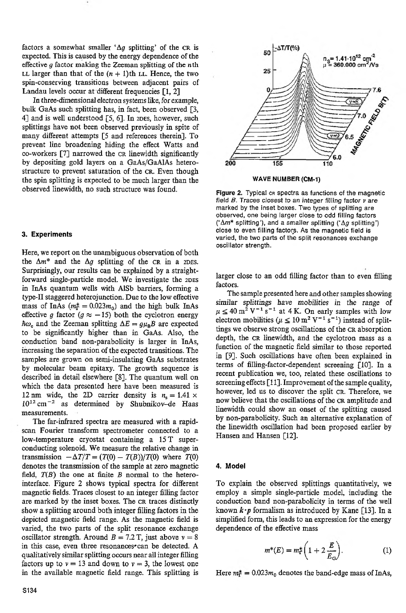factors a somewhat smaller ' $\Delta g$  splitting' of the CR is expected.This is caused by the energy dependence of the effective **g** factor making the Zeeman splitting of the nth LL larger than that of the  $(n + 1)$ th LL. Hence, the two spin-conserving transitions between adjacent pairs of Landau levels occur at different frequencies [1, 2]

In three-dimensional electron systems like, for example, bulk GaAs such splitting has, in fact, been observed **[3,** 41 and is well understood **[5, 61.** In **ZDES,** however, such splittings have not been observed previously in spite of many different attempts **[S** and references therein]. To prevent line broadening hiding the effect Watts and co-workers **[7]** narrowed the CR limewidth significantly by depositing gold layers on a GaAs/GaAlAs heterostructure to prevent saturation of the CR. Even though the spin splitting is expected to be much larger than the observed linewidth, no such structure was found.

#### **3. Experiments**

Here, we report on the unambiguous observation of both the  $\Delta m^*$  and the  $\Delta g$  splitting of the CR in a 2DES. Surprisingly, our results can be explained by a straightforward single-particle model. We investigate the 2DES in InAs quantum wells with AlSb barriers, forming a type-II staggered heterojunction. Due to the low effective mass of InAs  $(m_{\Gamma}^* = 0.023m_0)$  and the high bulk InAs effective g factor  $(g \approx -15)$  both the cyclotron energy  $\hbar\omega_c$  and the Zeeman splitting  $\Delta E = g\mu_B B$  are expected to be significantly higher than in GaAs. Also, the conduction band non-parabolicity is larger in InAs, increasing the separation of the expected transitions.The samples are grown on semi-insulating GaAs substrates by molecular beam epitaxy. The growth sequence is described in detail elsewhere **[SI.** The quantum well on which the data presented here have been measured is **12** nm wide, the 2D carrier density is  $n_s = 1.41 \times$  $10^{12}$  cm<sup>-2</sup> as determined by Shubnikov-de Haas measurements.

The far-infrared spectra are measured with a rapidscan Fourier transform spectrometer connected to a low-temperature cryostat containing a **15** T superconducting solenoid. We measure the relative change in transmission  $-\Delta T/T = (T(0) - T(B))/T(0)$  where *T*(0) denotes the transmission of the sample at zero magnetic field, *T(B)* the one at finite *B* normal to the heterointerface. Figure **2** shows typical spectra for different magnetic fields. Traces closest to an integer filling factor are marked by the inset boxes. The CR traces distinctly show a splitting around both integer filling factors in the depicted magnetic field range. **As** the magnetic field is varied, the two parts of the split resonance exchange oscillator strength. Around  $B = 7.2$  T, just above  $v = 8$ in this case, even three resonances<sup>\*</sup> can be detected. A qualitatively similar splitting occurs near all integer filling factors up to  $\nu = 13$  and down to  $\nu = 3$ , the lowest one in the available magnetic field range. This splitting is



**WAVE NUMBER (CM-1)**

Figure 2. Typical cn spectra as functions of the magnetic field  $B$ . Traces closest to an integer filling factor  $\nu$  are marked by the inset boxes. Two types of splitting are observed, one being larger close to odd filling factors *('Am\** splitting'), and a smaller splitting **('Ag**splitting') close to even filling factors. **As** the magnetic field is varied, the two parts of the split resonances exchange oscillator strength.

larger close to an odd filling factor than to even filling factors.

The sample presented here and other samples showing similar splittings have mobilities in the range of  $\mu \leq 40 \text{ m}^2 \text{ V}^{-1} \text{ s}^{-1}$  at 4 K. On early samples with low electron mobilities ( $\mu \leq 10 \text{ m}^2 \text{ V}^{-1} \text{ s}^{-1}$ ) instead of splittings we observe strong oscillations of the CR absorption depth, the CR linewidth, and the cyclotron mass as a function of the magnetic field similar to those reported in **[SI.** Such oscillations have often been explained in terms of filling-factor-dependent screening [lo]. In a recent publication we, too, related these oscillations to screeningeffects**[ll].** Improvement of the samplequality, however, led us to discover the split CR. Therefore, we now believe that the oscillations of the *CR* amplitude and linewidth could show an onset of the splitting caused by non-parabolicity. Such an alternative explanation of the linewidth oscillation had been proposed earlier by Hansen and Hansen **[12].**

#### **4. Model**

To explain the observed splittings quantitatively, we employ a simple single-particle model, including the conduction band non-parabolicity in terms of the well known  $\mathbf{k} \cdot \mathbf{p}$  formalism as introduced by Kane [13]. In a simplified form, this leads to an expression for the energy dependence of the effective mass

$$
m^*(E) = m_{\Gamma}^* \left( 1 + 2 \frac{E}{E_{\Theta}} \right).
$$
 (1)

Here  $m_{\Gamma}^{*} = 0.023m_0$  denotes the band-edge mass of InAs,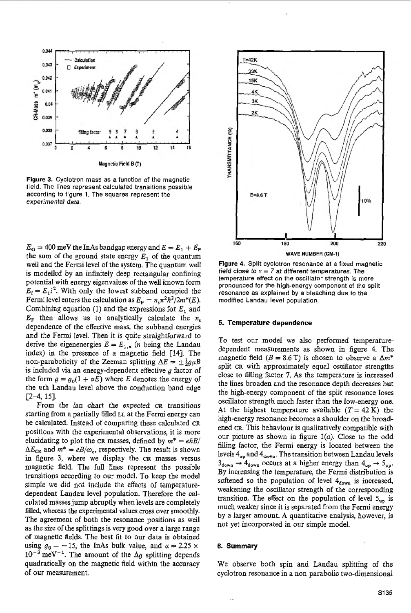

Figure 3. Cyclotron mass as a function of the magnetic field. The lines represent calculated transitions possible according to figure 1. The squares represent the experimental data.

 $E_G = 400$  meV the InAs bandgap energy and  $E = E_1 + E_F$ the sum of the ground state energy  $E_1$  of the quantum well and the Fermi level of the system. The quantum well is modelled by an infinitely deep rectangular confining potential with energy eigenvalues of the well known form  $E_i = E_1 i^2$ . With only the lowest subband occupied the Fermi level enters the calculation as  $E_F = n_s \pi^2 h^2 / 2m^*(E)$ . Combining equation (1) and the expressions for  $E_1$  and  $E_F$  then allows us to analytically calculate the  $n_s$ dependence of the effective mass, the subband energies and the Fermi level. Then it is quite straightforward to derive the eigenenergies  $E = E_{1,n}$  (*n* being the Landau index) in the presence of a magnetic field [14]. The non-parabolicity of the Zeeman splitting  $\Delta E = \pm \frac{1}{2} g \mu B$ is included via an energy-dependent effective  $g$  factor of the form  $g = g_0(1 + \alpha E)$  where E denotes the energy of the nth Landau level above the conduction band edge  $\sqrt{2} - 4$ , 15].

From the fan chart the expected CR transitions starting from a partially filled LL at the Fermi energy can be calculated. Instead of comparing these calculated CR positions with the experimental observations, it is more elucidating to plot the CR masses, defined by  $m^* = e\hbar B/$  $\Delta E_{CR}$  and  $m^* = eB/\omega_c$ , respectively. The result is shown in figure 3, where we display the CR masses versus magnetic field. The full lines represent the possible transitions according to our model. To keep the model simple we did not include the effects of temperaturedependent Landau level population. Therefore the calculated masses jump abruptly when levels are completely filled, whereas the experimental values cross over smoothly. The agreement of both the resonance positions as well as the size of the splittings is very good over a large range of magnetic fields. The best fit to our data is obtained using  $g_0 = -15$ , the InAs bulk value, and  $\alpha = 2.25 \times$  $10^{-3}$  meV<sup>-1</sup>. The amount of the  $\Delta g$  splitting depends quadratically on the magnetic field within the accuracy of our measurement.



Figure 4. Split cyclotron resonance at a fixed magnetic field close to  $v = 7$  at different temperatures. The temperature effect on the oscillator strength is more pronounced for the high-energy component of the split resonance as explained by a bleaching due to the modified Landau level population.

#### 5. Temperature dependence

To test our model we also performed temperaturedependent measurements as shown in figure 4. The magnetic field  $(B = 8.6 \text{ T})$  is chosen to observe a  $\Delta m^*$ split CR with approximately equal oscillator strengths close to filling factor 7. As the temperature is increased the lines broaden and the resonance depth decreases but the high-energy component of the split resonance loses oscillator strength much faster than the low-energy one. At the highest temperature available  $(T = 42 \text{ K})$  the high-energy resonance becomes a shoulder on the broadened CR. This behaviour is qualitatively compatible with our picture as shown in figure  $1(a)$ . Close to the odd filling factor, the Fermi energy is located between the levels  $4_{up}$  and  $4_{down}$ . The transition between Landau levels  $3_{down} \rightarrow 4_{down}$  occurs at a higher energy than  $4_{up} \rightarrow 5_{up}$ . By increasing the temperature, the Fermi distribution is softened so the population of level  $4_{down}$  is increased, weakening the oscillator strength of the corresponding transition. The effect on the population of level  $5_{up}$  is much weaker since it is separated from the Fermi energy by a larger amount. A quantitative analysis, however, is not yet incorporated in our simple model.

#### 6. Summary

We observe both spin and Landau splitting of the cyclotron resonance in a non-parabolic two-dimensional